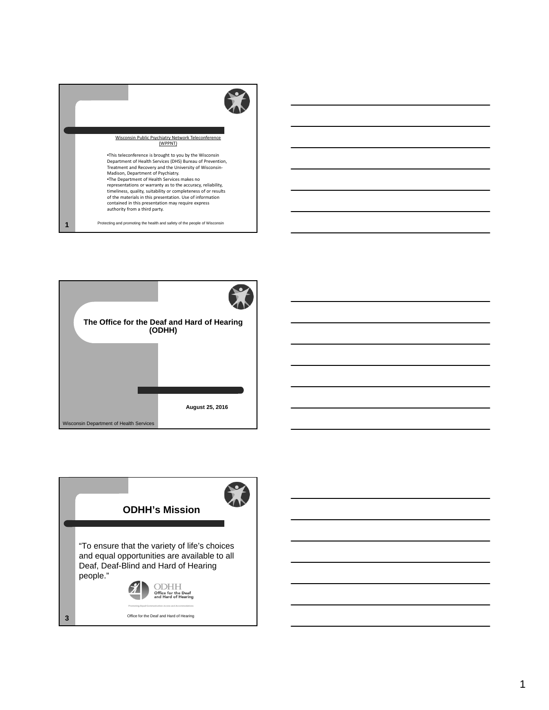



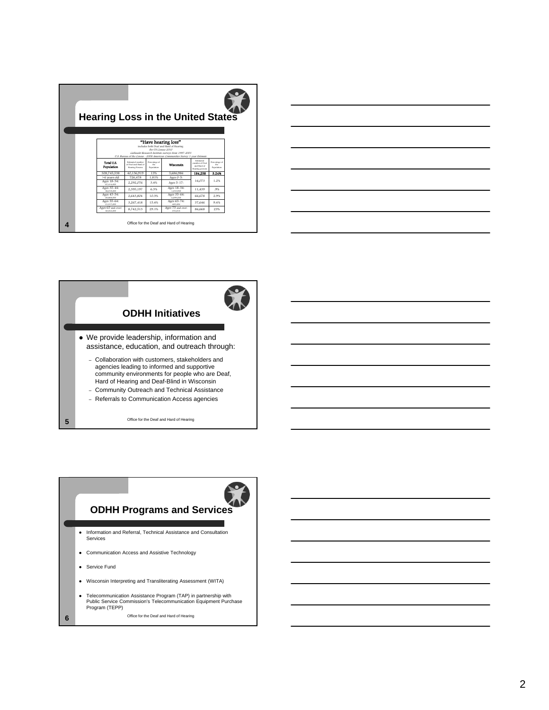| <b>Hearing Loss in the United States</b>                                                                                                                                                                                   |                                                           |                                            |                                         |                                                               |                                           |  |  |
|----------------------------------------------------------------------------------------------------------------------------------------------------------------------------------------------------------------------------|-----------------------------------------------------------|--------------------------------------------|-----------------------------------------|---------------------------------------------------------------|-------------------------------------------|--|--|
|                                                                                                                                                                                                                            |                                                           |                                            |                                         |                                                               |                                           |  |  |
| "Have hearing loss"<br>includes both Deaf and Hard of Hearing<br>Per US Census 2010<br>Gallaudet Research Institute surveys from 1997-2003<br>U.S. Bureau of the Census - 2008 American Communities Survey 1-year Estimate |                                                           |                                            |                                         |                                                               |                                           |  |  |
| <b>Total IIS.</b><br><b>Population</b>                                                                                                                                                                                     | Drimated number<br>of Deaf and Hard of<br>Hearing Persons | Percentage of<br>the<br><b>Presilation</b> | Wisconsin                               | Estimated<br>monkey of Deal<br>and Hard of<br>Hearing persons | Percentage of<br>the<br><b>Perulation</b> |  |  |
| 308,745,538                                                                                                                                                                                                                | 40.136.919                                                | 13%                                        | 5,686,986                               | 184.238                                                       | <b>S.24%</b>                              |  |  |
| >6 years old                                                                                                                                                                                                               | 726.478                                                   | 1.81%                                      | Ages 0-5:                               |                                                               |                                           |  |  |
| Ages 18-34:<br>67.414,000                                                                                                                                                                                                  | 2.292.076                                                 | 3.4%                                       | Ages 5-17:                              | 16.073                                                        | 1.2%                                      |  |  |
| Ages 35-44:<br>38.019.000                                                                                                                                                                                                  | 2.395.197                                                 | 6.3%                                       | Ages 18-34:<br>1,270,950                | 11.439                                                        | 9%                                        |  |  |
| Ages 45-54:<br>25.008.000                                                                                                                                                                                                  | 2.643.804                                                 | 10.3%                                      | Ages 35-64:<br>2.299.250                | 66,678                                                        | 2.9%                                      |  |  |
| Ages 55-64:<br>21.217,000                                                                                                                                                                                                  | 3.267.418                                                 | 15.4%                                      | Ages 65-74:<br>400,496                  | 37,646                                                        | 9.4%                                      |  |  |
| Ages 65 and over:<br>30.043.000                                                                                                                                                                                            | 8,742,513                                                 | 29.1%                                      | Ages 75 and over:<br>376,818            | 86,668                                                        | 23%                                       |  |  |
|                                                                                                                                                                                                                            |                                                           |                                            | Office for the Deaf and Hard of Hearing |                                                               |                                           |  |  |





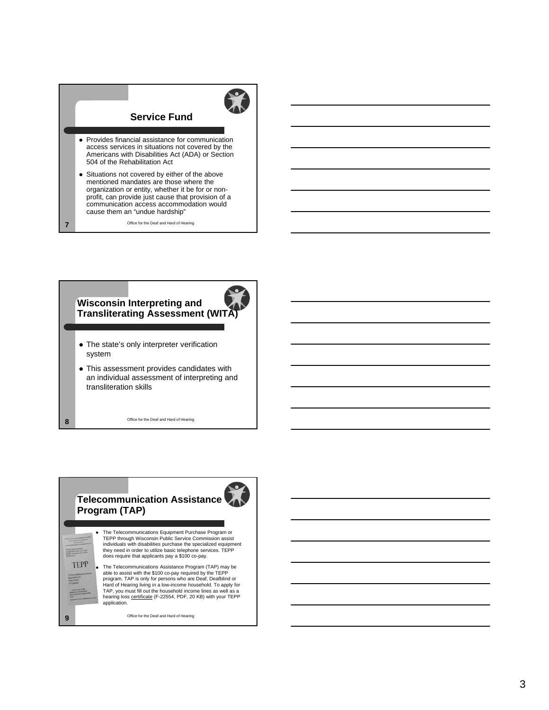# **Service Fund**

- Provides financial assistance for communication access services in situations not covered by the Americans with Disabilities Act (ADA) or Section 504 of the Rehabilitation Act
- Situations not covered by either of the above mentioned mandates are those where the organization or entity, whether it be for or nonprofit, can provide just cause that provision of a communication access accommodation would cause them an "undue hardship"

Office for the Deaf and Hard of Hearing

**7**

**8**

**9**

**TEPP** 

# **Wisconsin Interpreting and Transliterating Assessment (WITA)**

- The state's only interpreter verification system
- This assessment provides candidates with an individual assessment of interpreting and transliteration skills

Office for the Deaf and Hard of Hearing

# **Telecommunication Assistance Program (TAP)**

 The Telecommunications Equipment Purchase Program or TEPP through Wisconsin Public Service Commission assist individuals with disabilities purchase the specialized equipment they need in order to utilize basic telephone services. TEPP does require that applicants pay a \$100 co-pay.

• The Telecommunications Assistance Program (TAP) may be able to assist with the \$100 co-pay required by the TEPP program. TAP is only for persons who are Deaf, Deafblind or Hard of Hearing living in a low-income household. To apply for TAP, you must fill out the household income lines as well as a<br>hearing loss <u>certificate</u> (F-22554, PDF, 20 KB) with your TEPP application.

Office for the Deaf and Hard of Hearing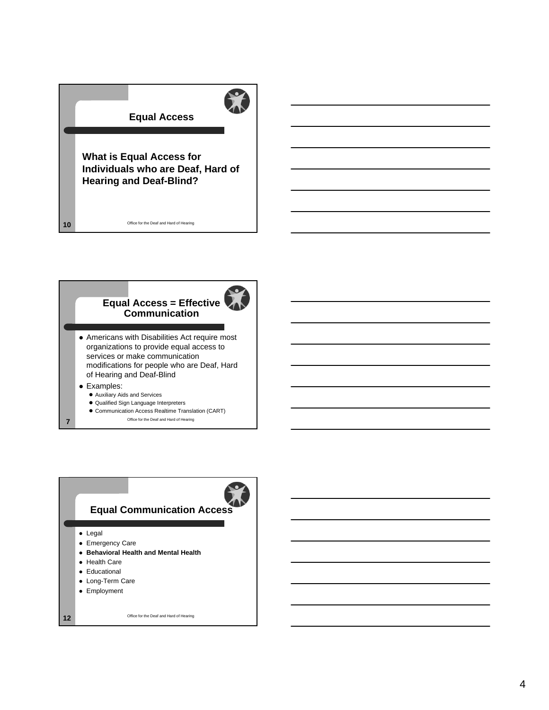

# **Equal Access = Effective Communication**

 Americans with Disabilities Act require most organizations to provide equal access to services or make communication modifications for people who are Deaf, Hard of Hearing and Deaf-Blind

### Examples:

Auxiliary Aids and Services

Office for the Deaf and Hard of Hearing **10**

- Qualified Sign Language Interpreters
- Communication Access Realtime Translation (CART)
- **7** Office for the Deaf and Hard of Hearing

# **Equal Communication Access**

• Legal

- Emergency Care
- **Behavioral Health and Mental Health**
- Health Care
- **•** Educational
- Long-Term Care
- Employment

Office for the Deaf and Hard of Hearing **12**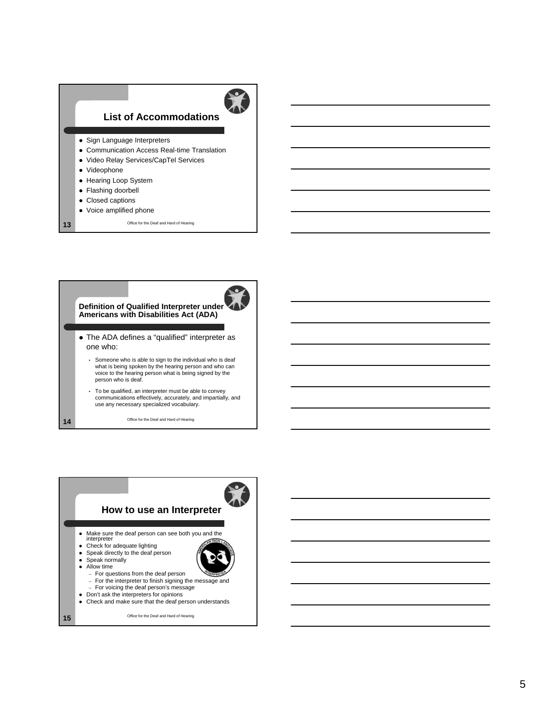## **List of Accommodations**



- Sign Language Interpreters
- Communication Access Real-time Translation
- Video Relay Services/CapTel Services
- Videophone
- Hearing Loop System
- Flashing doorbell
- Closed captions
- Voice amplified phone
- Office for the Deaf and Hard of Hearing **13**

### **Definition of Qualified Interpreter under Americans with Disabilities Act (ADA)**



 $\bullet$ 

- The ADA defines a "qualified" interpreter as one who:
	- Someone who is able to sign to the individual who is deaf what is being spoken by the hearing person and who can voice to the hearing person what is being signed by the person who is deaf.
	- To be qualified, an interpreter must be able to convey communications effectively, accurately, and impartially, and use any necessary specialized vocabulary.

Office for the Deaf and Hard of Hearing **14**





Office for the Deaf and Hard of Hearing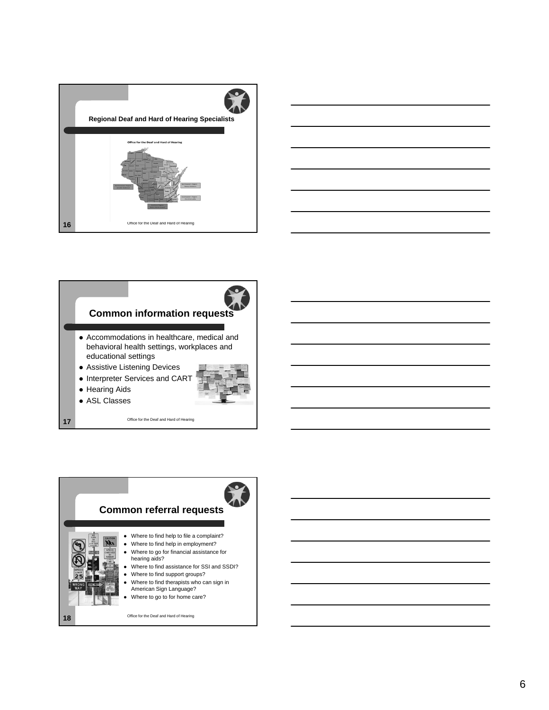





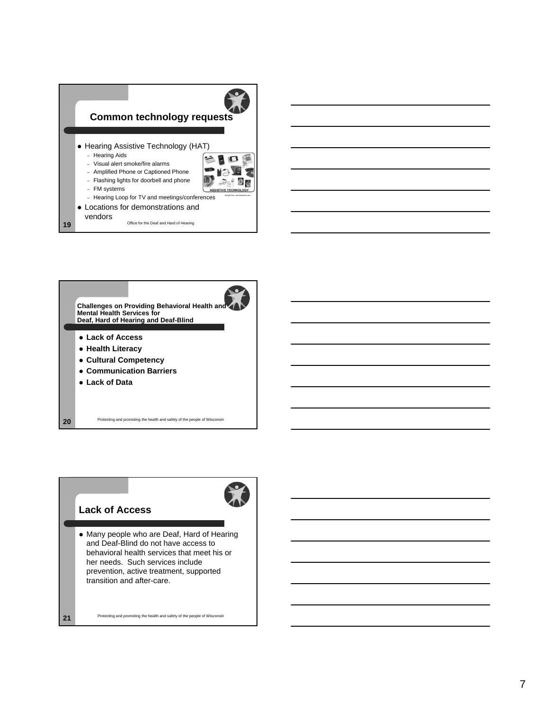





Protecting and promoting the health and safety of the people of Wisconsin **21**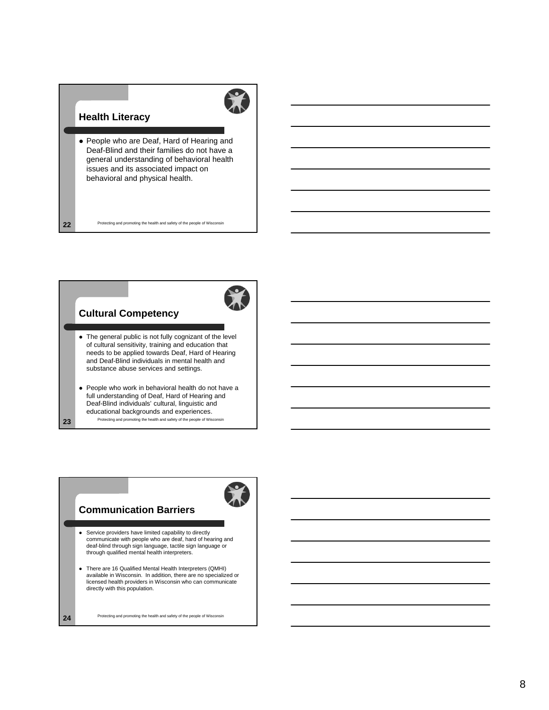# **Health Literacy**

 People who are Deaf, Hard of Hearing and Deaf-Blind and their families do not have a general understanding of behavioral health issues and its associated impact on behavioral and physical health.

Protecting and promoting the health and safety of the people of Wisconsin **22**

## **Cultural Competency**

- The general public is not fully cognizant of the level of cultural sensitivity, training and education that needs to be applied towards Deaf, Hard of Hearing and Deaf-Blind individuals in mental health and substance abuse services and settings.
- People who work in behavioral health do not have a full understanding of Deaf, Hard of Hearing and Deaf-Blind individuals' cultural, linguistic and educational backgrounds and experiences. Protecting and promoting the health and safety of the people of Wisconsin **23**